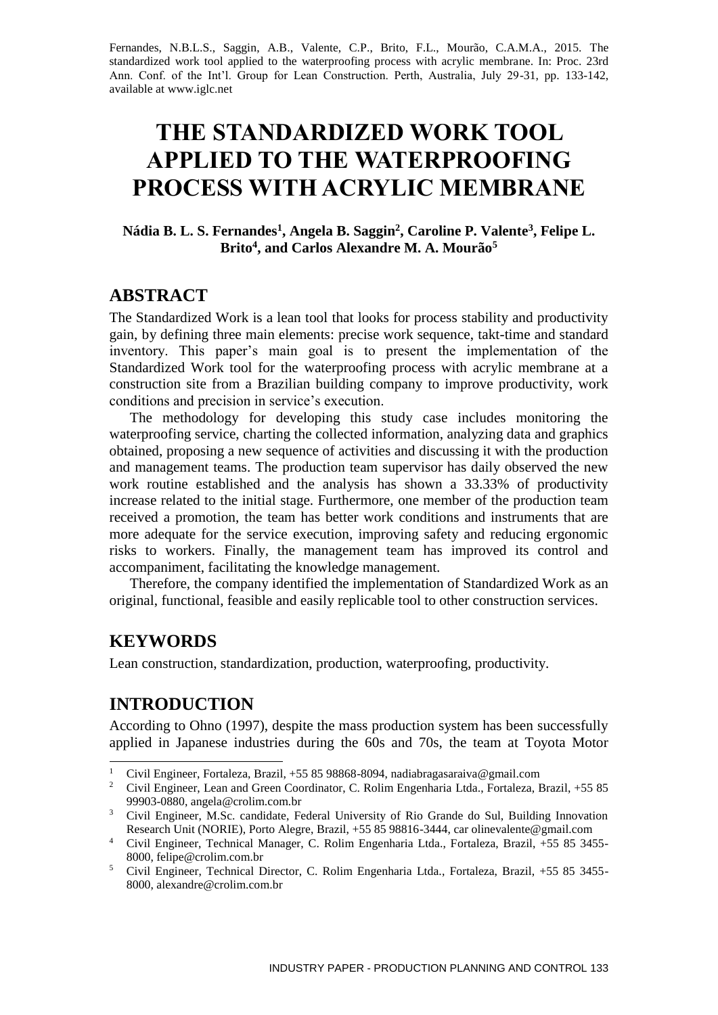Fernandes, N.B.L.S., Saggin, A.B., Valente, C.P., Brito, F.L., Mourão, C.A.M.A., 2015. The standardized work tool applied to the waterproofing process with acrylic membrane. In: Proc. 23rd Ann. Conf. of the Int'l. Group for Lean Construction. Perth, Australia, July 29-31, pp. 133-142, available at www.iglc.net

# **THE STANDARDIZED WORK TOOL APPLIED TO THE WATERPROOFING PROCESS WITH ACRYLIC MEMBRANE**

**Nádia B. L. S. Fernandes<sup>1</sup> , Angela B. Saggin<sup>2</sup> , Caroline P. Valente<sup>3</sup> , Felipe L. Brito<sup>4</sup> , and Carlos Alexandre M. A. Mourão<sup>5</sup>**

## **ABSTRACT**

The Standardized Work is a lean tool that looks for process stability and productivity gain, by defining three main elements: precise work sequence, takt-time and standard inventory. This paper's main goal is to present the implementation of the Standardized Work tool for the waterproofing process with acrylic membrane at a construction site from a Brazilian building company to improve productivity, work conditions and precision in service's execution.

The methodology for developing this study case includes monitoring the waterproofing service, charting the collected information, analyzing data and graphics obtained, proposing a new sequence of activities and discussing it with the production and management teams. The production team supervisor has daily observed the new work routine established and the analysis has shown a 33.33% of productivity increase related to the initial stage. Furthermore, one member of the production team received a promotion, the team has better work conditions and instruments that are more adequate for the service execution, improving safety and reducing ergonomic risks to workers. Finally, the management team has improved its control and accompaniment, facilitating the knowledge management.

Therefore, the company identified the implementation of Standardized Work as an original, functional, feasible and easily replicable tool to other construction services.

### **KEYWORDS**

1

Lean construction, standardization, production, waterproofing, productivity.

# **INTRODUCTION**

According to Ohno (1997), despite the mass production system has been successfully applied in Japanese industries during the 60s and 70s, the team at Toyota Motor

<sup>&</sup>lt;sup>1</sup> Civil Engineer, Fortaleza, Brazil, +55 85 98868-8094, nadiabragasaraiva@gmail.com

<sup>&</sup>lt;sup>2</sup> Civil Engineer, Lean and Green Coordinator, C. Rolim Engenharia Ltda., Fortaleza, Brazil, +55 85 99903-0880, angela@crolim.com.br

<sup>&</sup>lt;sup>3</sup> Civil Engineer, M.Sc. candidate, Federal University of Rio Grande do Sul, Building Innovation Research Unit (NORIE), Porto Alegre, Brazil, +55 85 98816-3444, car olinevalente@gmail.com

<sup>4</sup> Civil Engineer, Technical Manager, C. Rolim Engenharia Ltda., Fortaleza, Brazil, +55 85 3455- 8000, felipe@crolim.com.br

<sup>5</sup> Civil Engineer, Technical Director, C. Rolim Engenharia Ltda., Fortaleza, Brazil, +55 85 3455- 8000, alexandre@crolim.com.br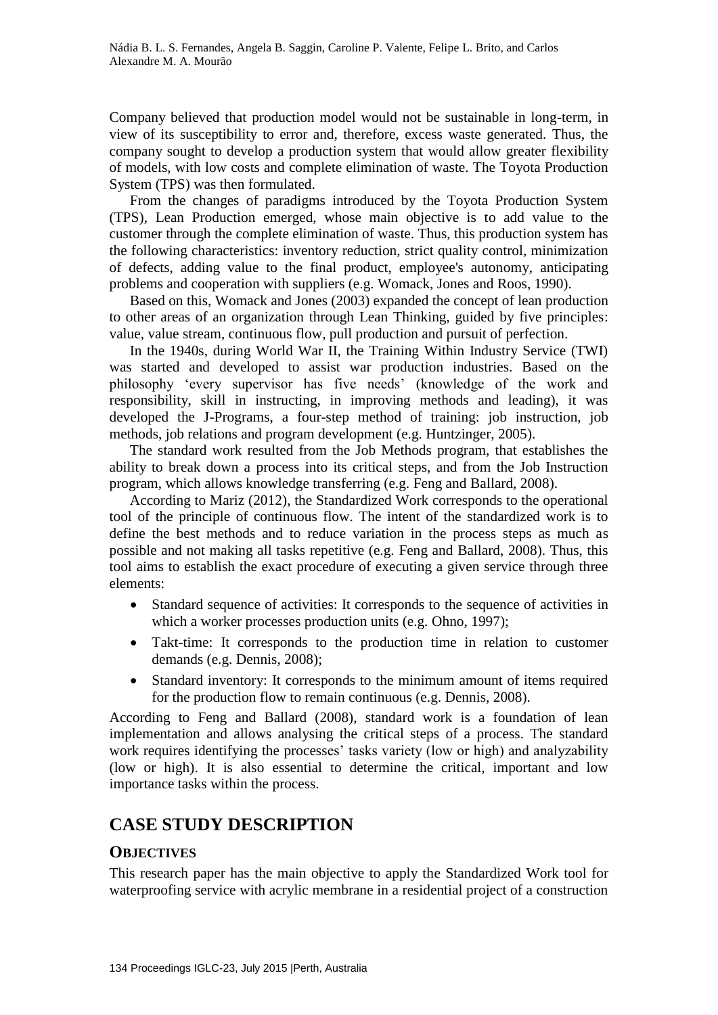Company believed that production model would not be sustainable in long-term, in view of its susceptibility to error and, therefore, excess waste generated. Thus, the company sought to develop a production system that would allow greater flexibility of models, with low costs and complete elimination of waste. The Toyota Production System (TPS) was then formulated.

From the changes of paradigms introduced by the Toyota Production System (TPS), Lean Production emerged, whose main objective is to add value to the customer through the complete elimination of waste. Thus, this production system has the following characteristics: inventory reduction, strict quality control, minimization of defects, adding value to the final product, employee's autonomy, anticipating problems and cooperation with suppliers (e.g. Womack, Jones and Roos, 1990).

Based on this, Womack and Jones (2003) expanded the concept of lean production to other areas of an organization through Lean Thinking, guided by five principles: value, value stream, continuous flow, pull production and pursuit of perfection.

In the 1940s, during World War II, the Training Within Industry Service (TWI) was started and developed to assist war production industries. Based on the philosophy 'every supervisor has five needs' (knowledge of the work and responsibility, skill in instructing, in improving methods and leading), it was developed the J-Programs, a four-step method of training: job instruction, job methods, job relations and program development (e.g. Huntzinger, 2005).

The standard work resulted from the Job Methods program, that establishes the ability to break down a process into its critical steps, and from the Job Instruction program, which allows knowledge transferring (e.g. Feng and Ballard, 2008).

According to Mariz (2012), the Standardized Work corresponds to the operational tool of the principle of continuous flow. The intent of the standardized work is to define the best methods and to reduce variation in the process steps as much as possible and not making all tasks repetitive (e.g. Feng and Ballard, 2008). Thus, this tool aims to establish the exact procedure of executing a given service through three elements:

- Standard sequence of activities: It corresponds to the sequence of activities in which a worker processes production units (e.g. Ohno, 1997);
- Takt-time: It corresponds to the production time in relation to customer demands (e.g. Dennis, 2008);
- Standard inventory: It corresponds to the minimum amount of items required for the production flow to remain continuous (e.g. Dennis, 2008).

According to Feng and Ballard (2008), standard work is a foundation of lean implementation and allows analysing the critical steps of a process. The standard work requires identifying the processes' tasks variety (low or high) and analyzability (low or high). It is also essential to determine the critical, important and low importance tasks within the process.

# **CASE STUDY DESCRIPTION**

#### **OBJECTIVES**

This research paper has the main objective to apply the Standardized Work tool for waterproofing service with acrylic membrane in a residential project of a construction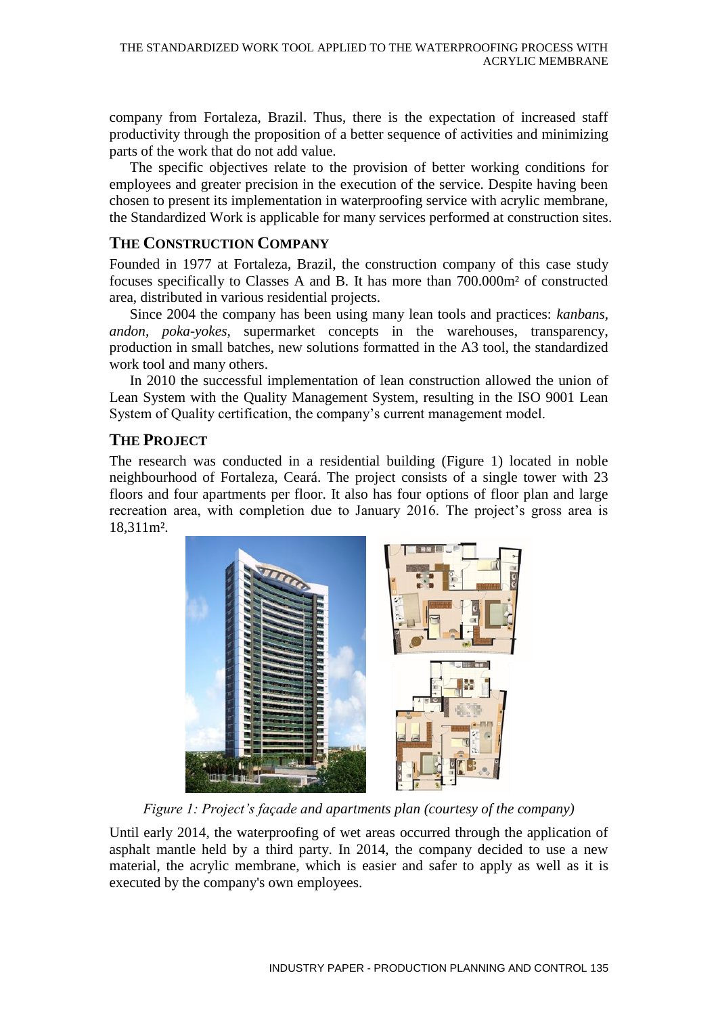company from Fortaleza, Brazil. Thus, there is the expectation of increased staff productivity through the proposition of a better sequence of activities and minimizing parts of the work that do not add value.

The specific objectives relate to the provision of better working conditions for employees and greater precision in the execution of the service. Despite having been chosen to present its implementation in waterproofing service with acrylic membrane, the Standardized Work is applicable for many services performed at construction sites.

### **THE CONSTRUCTION COMPANY**

Founded in 1977 at Fortaleza, Brazil, the construction company of this case study focuses specifically to Classes A and B. It has more than 700.000m² of constructed area, distributed in various residential projects.

Since 2004 the company has been using many lean tools and practices: *kanbans, andon, poka-yokes,* supermarket concepts in the warehouses, transparency, production in small batches, new solutions formatted in the A3 tool, the standardized work tool and many others.

In 2010 the successful implementation of lean construction allowed the union of Lean System with the Quality Management System, resulting in the ISO 9001 Lean System of Quality certification, the company's current management model.

### **THE PROJECT**

The research was conducted in a residential building (Figure 1) located in noble neighbourhood of Fortaleza, Ceará. The project consists of a single tower with 23 floors and four apartments per floor. It also has four options of floor plan and large recreation area, with completion due to January 2016. The project's gross area is 18,311m².



*Figure 1: Project's façade and apartments plan (courtesy of the company)* 

Until early 2014, the waterproofing of wet areas occurred through the application of asphalt mantle held by a third party. In 2014, the company decided to use a new material, the acrylic membrane, which is easier and safer to apply as well as it is executed by the company's own employees.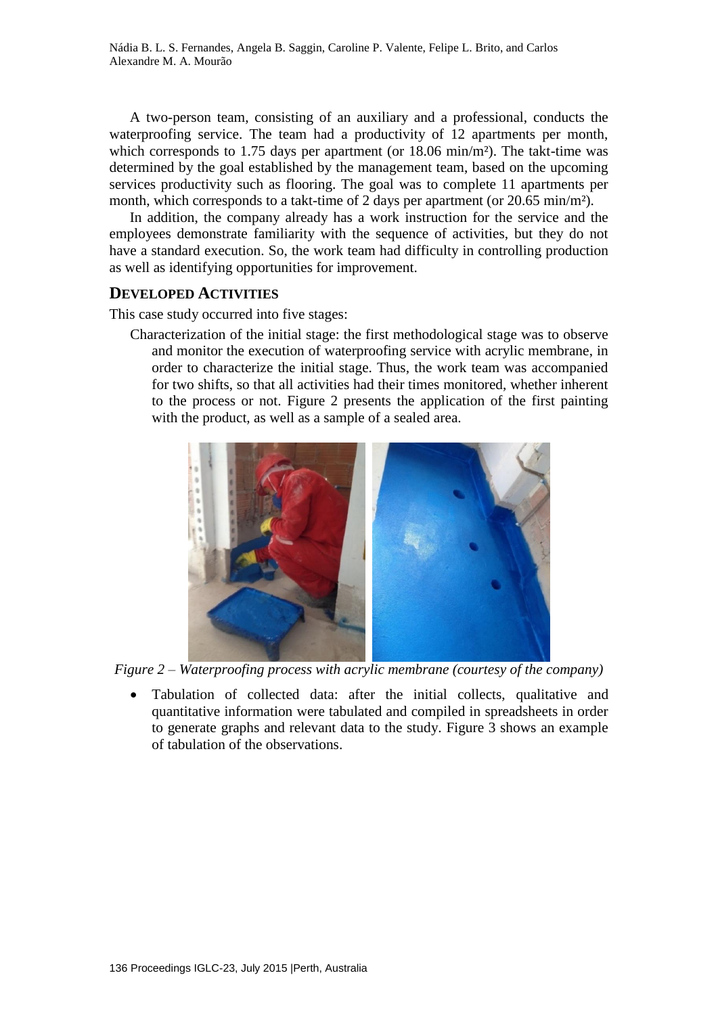A two-person team, consisting of an auxiliary and a professional, conducts the waterproofing service. The team had a productivity of 12 apartments per month, which corresponds to 1.75 days per apartment (or 18.06 min/m<sup>2</sup>). The takt-time was determined by the goal established by the management team, based on the upcoming services productivity such as flooring. The goal was to complete 11 apartments per month, which corresponds to a takt-time of 2 days per apartment (or 20.65 min/m<sup>2</sup>).

In addition, the company already has a work instruction for the service and the employees demonstrate familiarity with the sequence of activities, but they do not have a standard execution. So, the work team had difficulty in controlling production as well as identifying opportunities for improvement.

#### **DEVELOPED ACTIVITIES**

This case study occurred into five stages:

Characterization of the initial stage: the first methodological stage was to observe and monitor the execution of waterproofing service with acrylic membrane, in order to characterize the initial stage. Thus, the work team was accompanied for two shifts, so that all activities had their times monitored, whether inherent to the process or not. Figure 2 presents the application of the first painting with the product, as well as a sample of a sealed area.



*Figure 2 – Waterproofing process with acrylic membrane (courtesy of the company)*

 Tabulation of collected data: after the initial collects, qualitative and quantitative information were tabulated and compiled in spreadsheets in order to generate graphs and relevant data to the study. Figure 3 shows an example of tabulation of the observations.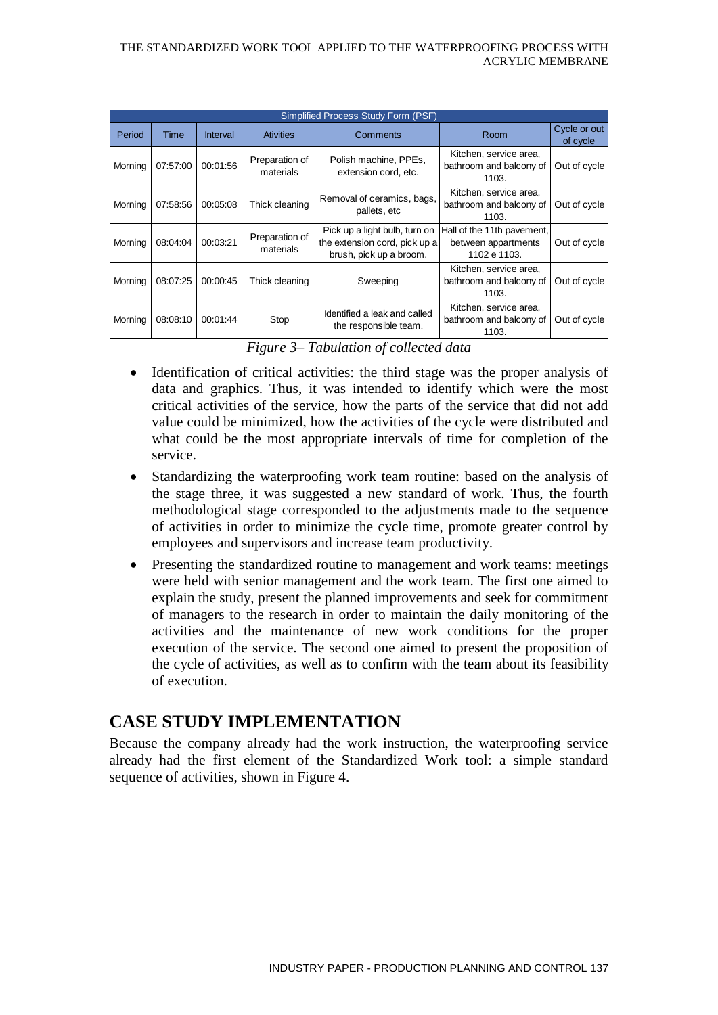| Simplified Process Study Form (PSF) |             |                 |                             |                                                                                           |                                                                   |                          |  |  |  |  |  |  |
|-------------------------------------|-------------|-----------------|-----------------------------|-------------------------------------------------------------------------------------------|-------------------------------------------------------------------|--------------------------|--|--|--|--|--|--|
| Period                              | <b>Time</b> | <b>Interval</b> | <b>Ativities</b>            | Room<br>Comments                                                                          |                                                                   | Cycle or out<br>of cycle |  |  |  |  |  |  |
| Morning                             | 07:57:00    | 00:01:56        | Preparation of<br>materials | Polish machine, PPEs,<br>extension cord, etc.                                             | Kitchen, service area,<br>bathroom and balcony of<br>1103.        | Out of cycle             |  |  |  |  |  |  |
| Morning                             | 07:58:56    | 00:05:08        | Thick cleaning              | Removal of ceramics, bags,<br>pallets, etc                                                | Kitchen, service area,<br>bathroom and balcony of<br>1103.        | Out of cycle             |  |  |  |  |  |  |
| Morning                             | 08:04:04    | 00:03:21        | Preparation of<br>materials | Pick up a light bulb, turn on<br>the extension cord, pick up a<br>brush, pick up a broom. | Hall of the 11th pavement,<br>between appartments<br>1102 e 1103. | Out of cycle             |  |  |  |  |  |  |
| Morning                             | 08.07.25    | 00:00:45        | Thick cleaning              | Sweeping                                                                                  | Kitchen, service area,<br>bathroom and balcony of<br>1103.        | Out of cycle             |  |  |  |  |  |  |
| Morning                             | 08:08:10    | 00:01:44        | Stop                        | Identified a leak and called<br>the responsible team.                                     | Kitchen, service area,<br>bathroom and balcony of<br>1103.        | Out of cycle             |  |  |  |  |  |  |

*Figure 3– Tabulation of collected data* 

- Identification of critical activities: the third stage was the proper analysis of data and graphics. Thus, it was intended to identify which were the most critical activities of the service, how the parts of the service that did not add value could be minimized, how the activities of the cycle were distributed and what could be the most appropriate intervals of time for completion of the service.
- Standardizing the waterproofing work team routine: based on the analysis of the stage three, it was suggested a new standard of work. Thus, the fourth methodological stage corresponded to the adjustments made to the sequence of activities in order to minimize the cycle time, promote greater control by employees and supervisors and increase team productivity.
- Presenting the standardized routine to management and work teams: meetings were held with senior management and the work team. The first one aimed to explain the study, present the planned improvements and seek for commitment of managers to the research in order to maintain the daily monitoring of the activities and the maintenance of new work conditions for the proper execution of the service. The second one aimed to present the proposition of the cycle of activities, as well as to confirm with the team about its feasibility of execution.

# **CASE STUDY IMPLEMENTATION**

Because the company already had the work instruction, the waterproofing service already had the first element of the Standardized Work tool: a simple standard sequence of activities, shown in Figure 4.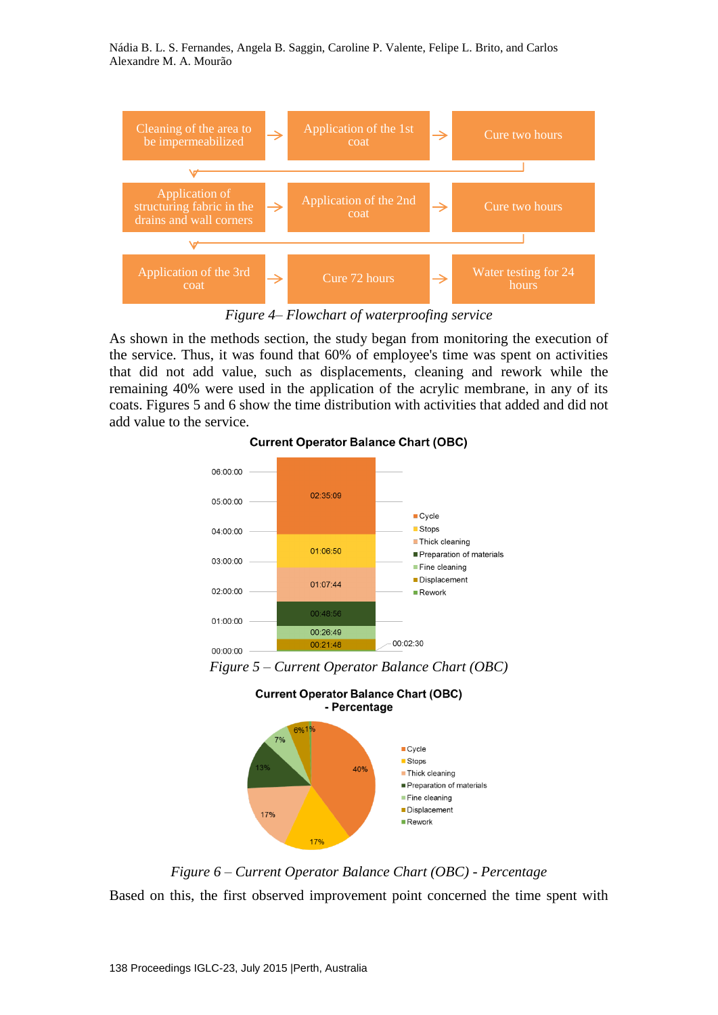Nádia B. L. S. Fernandes, Angela B. Saggin, Caroline P. Valente, Felipe L. Brito, and Carlos Alexandre M. A. Mourão



*Figure 4– Flowchart of waterproofing service*

As shown in the methods section, the study began from monitoring the execution of the service. Thus, it was found that 60% of employee's time was spent on activities that did not add value, such as displacements, cleaning and rework while the remaining 40% were used in the application of the acrylic membrane, in any of its coats. Figures 5 and 6 show the time distribution with activities that added and did not add value to the service.



#### **Current Operator Balance Chart (OBC)**

*Figure 5 – Current Operator Balance Chart (OBC)*



*Figure 6 – Current Operator Balance Chart (OBC) - Percentage* Based on this, the first observed improvement point concerned the time spent with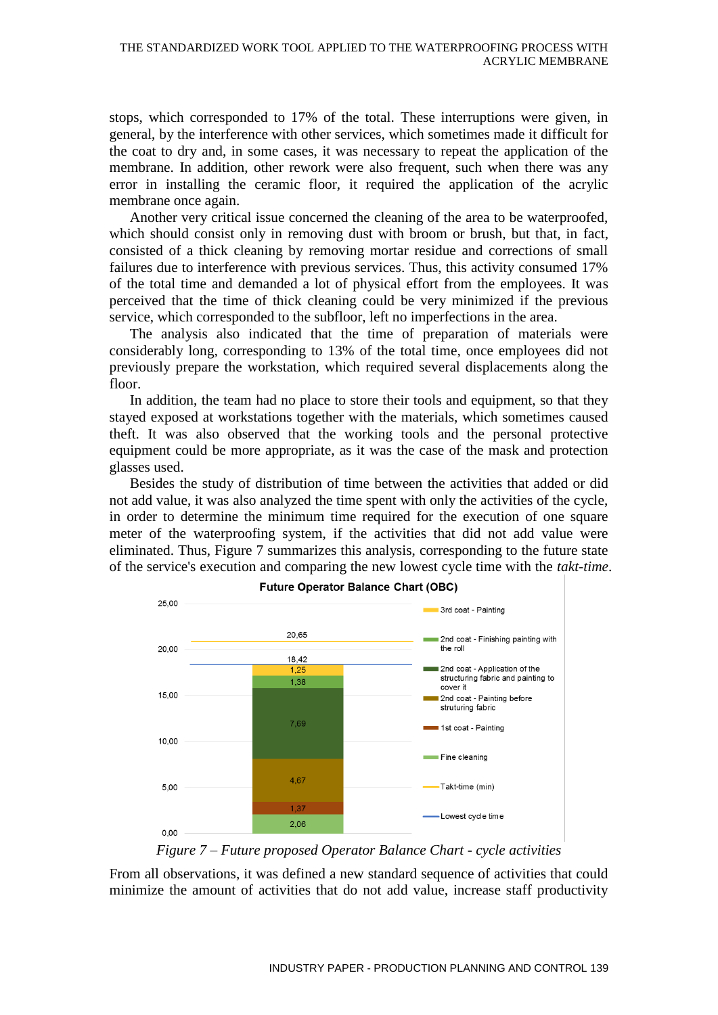stops, which corresponded to 17% of the total. These interruptions were given, in general, by the interference with other services, which sometimes made it difficult for the coat to dry and, in some cases, it was necessary to repeat the application of the membrane. In addition, other rework were also frequent, such when there was any error in installing the ceramic floor, it required the application of the acrylic membrane once again.

Another very critical issue concerned the cleaning of the area to be waterproofed, which should consist only in removing dust with broom or brush, but that, in fact, consisted of a thick cleaning by removing mortar residue and corrections of small failures due to interference with previous services. Thus, this activity consumed 17% of the total time and demanded a lot of physical effort from the employees. It was perceived that the time of thick cleaning could be very minimized if the previous service, which corresponded to the subfloor, left no imperfections in the area.

The analysis also indicated that the time of preparation of materials were considerably long, corresponding to 13% of the total time, once employees did not previously prepare the workstation, which required several displacements along the floor.

In addition, the team had no place to store their tools and equipment, so that they stayed exposed at workstations together with the materials, which sometimes caused theft. It was also observed that the working tools and the personal protective equipment could be more appropriate, as it was the case of the mask and protection glasses used.

Besides the study of distribution of time between the activities that added or did not add value, it was also analyzed the time spent with only the activities of the cycle, in order to determine the minimum time required for the execution of one square meter of the waterproofing system, if the activities that did not add value were eliminated. Thus, Figure 7 summarizes this analysis, corresponding to the future state of the service's execution and comparing the new lowest cycle time with the *takt-time*.



**Future Operator Balance Chart (OBC)** 

*Figure 7 – Future proposed Operator Balance Chart - cycle activities*

From all observations, it was defined a new standard sequence of activities that could minimize the amount of activities that do not add value, increase staff productivity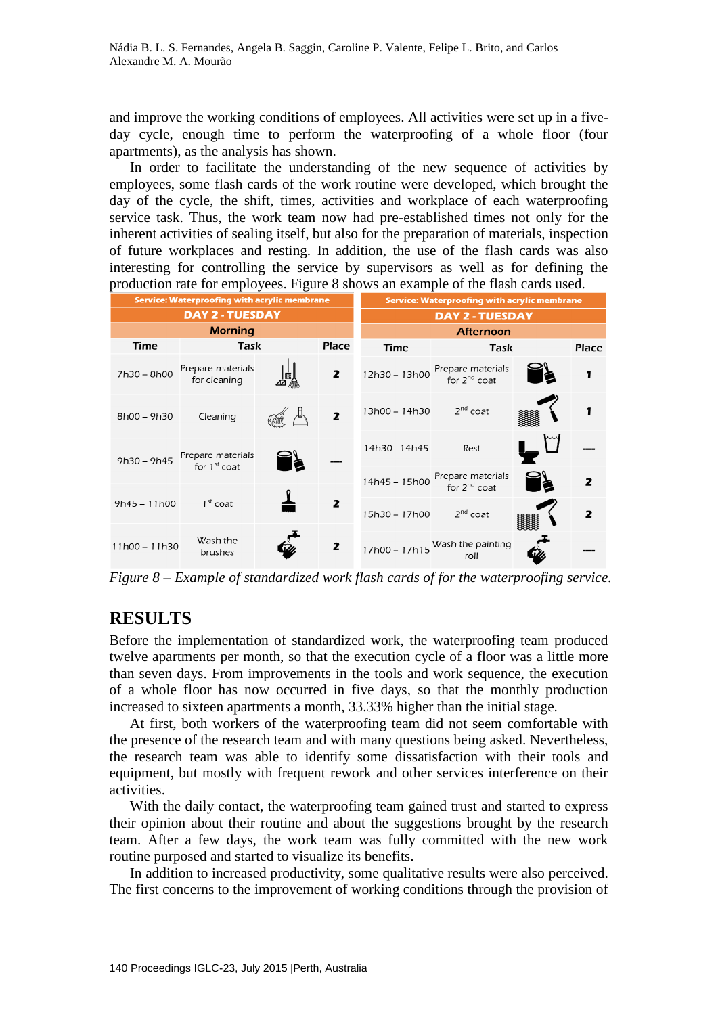and improve the working conditions of employees. All activities were set up in a fiveday cycle, enough time to perform the waterproofing of a whole floor (four apartments), as the analysis has shown.

In order to facilitate the understanding of the new sequence of activities by employees, some flash cards of the work routine were developed, which brought the day of the cycle, the shift, times, activities and workplace of each waterproofing service task. Thus, the work team now had pre-established times not only for the inherent activities of sealing itself, but also for the preparation of materials, inspection of future workplaces and resting. In addition, the use of the flash cards was also interesting for controlling the service by supervisors as well as for defining the production rate for employees. Figure 8 shows an example of the flash cards used.

|                 | Service: Waterproofing with acrylic membrane |   | <b>Service: Waterproofing with acrylic membrane</b> |               |                                        |   |                         |
|-----------------|----------------------------------------------|---|-----------------------------------------------------|---------------|----------------------------------------|---|-------------------------|
|                 | <b>DAY 2 - TUESDAY</b>                       |   | <b>DAY 2 - TUESDAY</b>                              |               |                                        |   |                         |
|                 | <b>Morning</b>                               |   | <b>Afternoon</b>                                    |               |                                        |   |                         |
| <b>Time</b>     | Task                                         |   | <b>Place</b>                                        | Time          | Task                                   |   |                         |
| 7h30 - 8h00     | Prepare materials<br>for cleaning            |   | $\overline{z}$                                      | 12h30 - 13h00 | Prepare materials<br>for $2^{nd}$ coat | þ | 1                       |
| $8h00 - 9h30$   | Cleaning                                     | 獼 | $\overline{z}$                                      | 13h00 - 14h30 | $2^{nd}$ coat                          |   | 1                       |
| $9h30 - 9h45$   | Prepare materials<br>for $1st$ coat          | 皀 |                                                     | 14h30-14h45   | Rest                                   |   |                         |
|                 |                                              |   |                                                     | 14h45 - 15h00 | Prepare materials<br>for $2^{nd}$ coat | 卢 | $\overline{\mathbf{z}}$ |
| $9h45 - 11h00$  | $1st$ coat                                   |   | 2                                                   | 15h30 - 17h00 | $2^{nd}$ coat                          |   | $\overline{z}$          |
| $11h00 - 11h30$ | Wash the<br>brushes                          |   | 2                                                   | 17h00 - 17h15 | Wash the painting<br>roll              |   |                         |

*Figure 8 – Example of standardized work flash cards of for the waterproofing service.*

# **RESULTS**

Before the implementation of standardized work, the waterproofing team produced twelve apartments per month, so that the execution cycle of a floor was a little more than seven days. From improvements in the tools and work sequence, the execution of a whole floor has now occurred in five days, so that the monthly production increased to sixteen apartments a month, 33.33% higher than the initial stage.

At first, both workers of the waterproofing team did not seem comfortable with the presence of the research team and with many questions being asked. Nevertheless, the research team was able to identify some dissatisfaction with their tools and equipment, but mostly with frequent rework and other services interference on their activities.

With the daily contact, the waterproofing team gained trust and started to express their opinion about their routine and about the suggestions brought by the research team. After a few days, the work team was fully committed with the new work routine purposed and started to visualize its benefits.

In addition to increased productivity, some qualitative results were also perceived. The first concerns to the improvement of working conditions through the provision of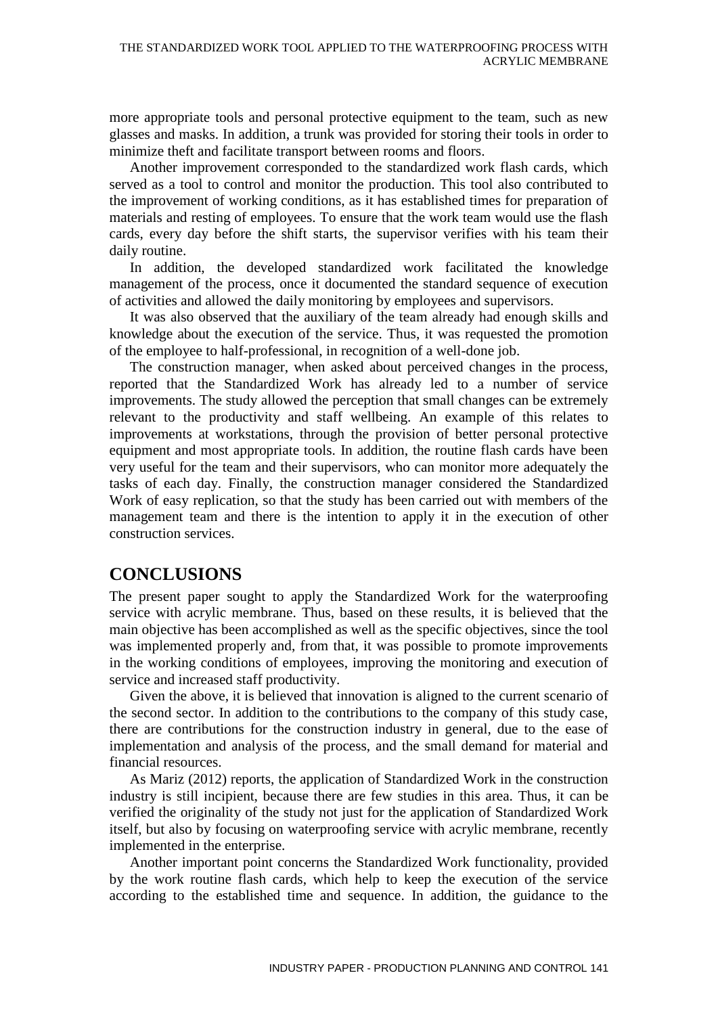more appropriate tools and personal protective equipment to the team, such as new glasses and masks. In addition, a trunk was provided for storing their tools in order to minimize theft and facilitate transport between rooms and floors.

Another improvement corresponded to the standardized work flash cards, which served as a tool to control and monitor the production. This tool also contributed to the improvement of working conditions, as it has established times for preparation of materials and resting of employees. To ensure that the work team would use the flash cards, every day before the shift starts, the supervisor verifies with his team their daily routine.

In addition, the developed standardized work facilitated the knowledge management of the process, once it documented the standard sequence of execution of activities and allowed the daily monitoring by employees and supervisors.

It was also observed that the auxiliary of the team already had enough skills and knowledge about the execution of the service. Thus, it was requested the promotion of the employee to half-professional, in recognition of a well-done job.

The construction manager, when asked about perceived changes in the process, reported that the Standardized Work has already led to a number of service improvements. The study allowed the perception that small changes can be extremely relevant to the productivity and staff wellbeing. An example of this relates to improvements at workstations, through the provision of better personal protective equipment and most appropriate tools. In addition, the routine flash cards have been very useful for the team and their supervisors, who can monitor more adequately the tasks of each day. Finally, the construction manager considered the Standardized Work of easy replication, so that the study has been carried out with members of the management team and there is the intention to apply it in the execution of other construction services.

### **CONCLUSIONS**

The present paper sought to apply the Standardized Work for the waterproofing service with acrylic membrane. Thus, based on these results, it is believed that the main objective has been accomplished as well as the specific objectives, since the tool was implemented properly and, from that, it was possible to promote improvements in the working conditions of employees, improving the monitoring and execution of service and increased staff productivity.

Given the above, it is believed that innovation is aligned to the current scenario of the second sector. In addition to the contributions to the company of this study case, there are contributions for the construction industry in general, due to the ease of implementation and analysis of the process, and the small demand for material and financial resources.

As Mariz (2012) reports, the application of Standardized Work in the construction industry is still incipient, because there are few studies in this area. Thus, it can be verified the originality of the study not just for the application of Standardized Work itself, but also by focusing on waterproofing service with acrylic membrane, recently implemented in the enterprise.

Another important point concerns the Standardized Work functionality, provided by the work routine flash cards, which help to keep the execution of the service according to the established time and sequence. In addition, the guidance to the